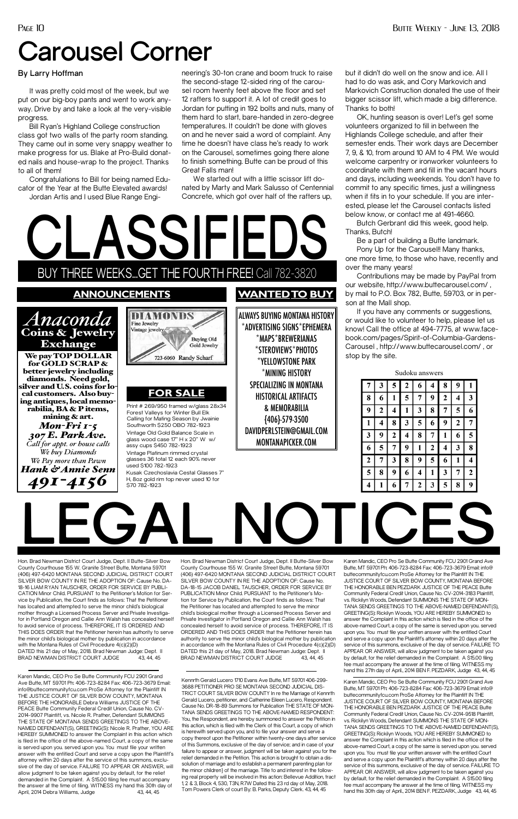Hon. Brad Newman District Court Judge, Dept. II Butte-Silver Bow County Courthouse 155 W. Granite Street Butte, Montana 59701 (406) 497-6420 MONTANA SECOND JUDICIAL DISTRICT COURT SILVER BOW COUNTY IN RE THE ADOPTION OF: Cause No. DA-18-15 JACOB DANIEL TAUSCHER, ORDER FOR SERVICE BY PUBLICATION Minor Child. PURSUANT to the Petitioner's Motion for Service by Publication, the Court finds as follows: That the Petitioner has located and attempted to serve the minor child's biological mother through a Licensed Process Server and Private Investigator in Portland Oregon and Callie Ann Walsh has concealed herself to avoid service of process. THEREFORE, IT IS ORDERED AND THIS DOES ORDER that the Petitioner herein has authority to serve the minor child's biological mother by publication in accordance with the Montana Rules of Civil Procedure 4(c)(2)(D) DATED this 21 day of May, 2018. Brad Newman Judge: Dept. II BRAD NEWMAN DISTRICT COURT JUDGE 43, 44, 45

**LEGAL NOTICES**

Hon. Brad Newman District Court Judge, Dept. II Butte-Silver Bow County Courthouse 155 W. Granite Street Butte, Montana 59701 (406) 497-6420 MONTANA SECOND JUDICIAL DISTRICT COURT SILVER BOW COUNTY IN RE THE ADOPTION OF: Cause No. DA-18-16 LIAM RYAN TAUSCHER, ORDER FOR SERVICE BY PUBLI-CATION Minor Child. PURSUANT to the Petitioner's Motion for Service by Publication, the Court finds as follows: That the Petitioner has located and attempted to serve the minor child's biological mother through a Licensed Process Server and Private Investigator in Portland Oregon and Callie Ann Walsh has concealed herself to avoid service of process. THEREFORE, IT IS ORDERED AND THIS DOES ORDER that the Petitioner herein has authority to serve the minor child's biological mother by publication in accordance with the Montana Rules of Civil Procedure 4(c)(2)(D) DATED this 21 day of May, 2018. Brad Newman Judge: Dept. II BRAD NEWMAN DISTRICT COURT JUDGE 43, 44, 45

> Kennrth Gerald Lucero 1710 Evans Ave Butte, MT 59701 406-299- 3688 PETITIONER PRO SE MONTANA SECOND JUDICIAL DIS-TRICT COURT SILVER BOW COUNTY In re the Marriage of Kennrth Gerald Lucero, petitioner, and Catherine Eileen Lucero, Respondent. Cause No. DR-18-89 Summons for Publication THE STATE OF MON-TANA SENDS GREETINGS TO THE ABOVE-NAMED RESPONDENT: You, the Respondent, are hereby summoned to answer the Petition in this action, which is filed with the Clerk of this Court, a copy of which is herewith served upon you, and to file your answer and serve a copy thereof upon the Petitioner within twenty-one days after service of this Summons, exclusive of the day of service; and in case of your failure to appear or answer, judgment will be taken against you for the relief demanded in the Petition. This action is brought to obtain a dissolution of marriage and to establish a permanent parenting plan for the minor children} of the marriage. Title to and interest in the following real property will be involved in this action: Bellevue Addition, tract 1, 2 & 3, Block 4, 530, T3N, R7W Dated this 23 rd day of May, 2018. Tom Powers Clerk of court By: B. Parks, Deputy Clerk. 43, 44, 45

Karen Mandic, CEO Pro Se Butte Community FCU 2901 Grand Ave Butte, MT 59701 Ph: 406-723-8284 Fax: 406-723-3679 Email: info@buttecommunityfcu.com ProSe Attorney for the Plaintiff IN THE JUSTICE COURT OF SILVER BOW COUNTY, MONTANA BEFORE THE HONORABLE Debra Williams JUSTICE OF THE PEACE Butte Community Federal Credit Union, Cause No. CV-2014-9907 Plaintiff, vs. Nicole R. Prather, Defendant SUMMONS THE STATE OF MONTANA SENDS GREETINGS TO THE ABOVE-NAMED DEFENDANT(S), GREETING(S): Nicole R. Prather, YOU ARE HEREBY SUMMONED to answer the Complaint in this action which is filed in the office of the above-named Court, a copy of the same is served upon you. served upon you. You must file your written answer with the entitled Court and serve a copy upon the Plaintiff's attorney within 20 days after the service of this summons, exclusive of the day of service. FAILURE TO APPEAR OR ANSWER, will allow judgment to be taken against you by default, for the relief demanded in the Complaint. A \$15.00 filing fee must accompany the answer at the time of filing. WITNESS my hand this 30th day of April, 2014 Debra Williams, Judge 43, 44, 45

Karen Mandic, CEO Pro Se Butte Community FCU 2901 Grand Ave Butte, MT 59701 Ph: 406-723-8284 Fax: 406-723-3679 Email: info@ buttecommunityfcu.com ProSe Attorney for the Plaintiff IN THE JUSTICE COURT OF SILVER BOW COUNTY, MONTANA BEFORE THE HONORABLE BEN PEZDARK JUSTICE OF THE PEACE Butte Community Federal Credit Union, Cause No. CV-2014-3183 Plaintiff, vs. Rickilyn Woods, Defendant SUMMONS THE STATE OF MON-TANA SENDS GREETINGS TO THE ABOVE-NAMED DEFENDANT(S), GREETING(S): Rickilyn Woods, YOU ARE HEREBY SUMMONED to answer the Complaint in this action which is filed in the office of the above-named Court, a copy of the same is served upon you. served upon you. You must file your written answer with the entitled Court and serve a copy upon the Plaintiff's attorney within 20 days after the service of this summons, exclusive of the day of service. FAILURE TO APPEAR OR ANSWER, will allow judgment to be taken against you by default, for the relief demanded in the Complaint. A \$15.00 filing fee must accompany the answer at the time of filing. WITNESS my hand this 27th day of April., 2014 BEN F. PEZDARK, Judge 43, 44, 45 Karen Mandic, CEO Pro Se Butte Community FCU 2901 Grand Ave Butte, MT 59701 Ph: 406-723-8284 Fax: 406-723-3679 Email: info@ buttecommunityfcu.com ProSe Attorney for the Plaintiff IN THE JUSTICE COURT OF SILVER BOW COUNTY, MONTANA BEFORE THE HONORABLE BEN PEZDARK JUSTICE OF THE PEACE Butte Community Federal Credit Union, Cause No. CV-2014-9518 Plaintiff, vs. Rickilyn Woods, Defendant SUMMONS THE STATE OF MON-TANA SENDS GREETINGS TO THE ABOVE-NAMED DEFENDANT(S), GREETING(S): Rickilyn Woods, YOU ARE HEREBY SUMMONED to answer the Complaint in this action which is filed in the office of the above-named Court, a copy of the same is served upon you. served upon you. You must file your written answer with the entitled Court and serve a copy upon the Plaintiff's attorney within 20 days after the service of this summons, exclusive of the day of service. FAILURE TO APPEAR OR ANSWER, will allow judgment to be taken against you by default, for the relief demanded in the Complaint. A \$15.00 filing fee must accompany the answer at the time of filing. WITNESS my hand this 30th day of April., 2014 BEN F. PEZDARK, Judge 43, 44, 45

We started out with a little scissor lift donated by Marty and Mark Salusso of Centennial Concrete, which got over half of the rafters up,

*We buy Diamonds We Pay more than Pawn Hank & Annie Senn 491-4156*

**CLASSIFIEDS** THREE WEEKS...GET THE FOURTH FREE! Call 782-3820 **announcements WANTEDTO BUY** DIAMONDS ALWAYS BUYING MONTANA HISTORY *Anaconda*  Fine Jewelry \*ADVERTISING SIGNS\*EPHEMERA Vintage jewelry Coins & Jewelry **Buying Old** \*MAPS\*BREWERIANAS Exchange Gold Jewelry \*STEROVIEWS\*PHOTOS We pay TOP DOLLAR 723-6060 Randy Scharf \*YELLOWSTONE PARK for GOLD SCRAP & better jewelry including \*MINING HISTORY diamonds. Need gold, SPECIALIZING IN MONTANA silver and U.S. coins for lo-**FOR SALE** cal customers. Also buy-HISTORICAL ARTIFACTS ing antiques, local memo-Print # 269/950 framed w/glass 28x34 & MEMORABILIA rabilia, BA & P items, Forest Valleys for Winter Bull Elk mining & art. Calling for Mating Season by Jwainie {406}-579-3500 *Mon-Fri 1-5*  Southworth \$250 OBO 782-1923 DAVIDPERLSTEIN@GMAIL.COM Vintage Old Gold Balance Scale in *307 E. Park Ave.* glass wood case 17" H x 20" W w/ MONTANAPICKER.COM *Call for appt. or house calls* assy cups \$450 782-1923

> Vintage Platinum rimmed crystal glasses 36 total 12 each 90% never

used \$100 782-1923

Kusak Czechoslavia Cestal Glasses 7" H, 8oz gold rim top never used 10 for

\$70 782-1923

Sudoku answers

| o iyo ailo w |             |   |                |                |             |                |              |                  |
|--------------|-------------|---|----------------|----------------|-------------|----------------|--------------|------------------|
| 7            | 3           | 5 | $\overline{2}$ | 6              | 4           | 8              | 9            |                  |
| 8            | 6           | 1 | 5              | 7              | 9           | $\overline{2}$ | 4            | 3                |
| 9            | $\mathbf 2$ | 4 | 1              | 3              | 8           | 7              | 5            | 6                |
| 1            | 4           | 8 | 3              | 5              | 6           | 9              | $\mathbf{2}$ | 7                |
| 3            | 9           | 2 | 4              | 8              | 7           | 1              | 6            | 5                |
| 6            | 5           | 7 | 9              | 1              | $\mathbf 2$ | 4              | 3            | 8                |
| $\mathbf{2}$ | 7           | 3 | 8              | 9              | 5           | 6              | 1            |                  |
| 5            | 8           | 9 | 6              | 4              | 1           | 3              | 7            | $\boldsymbol{2}$ |
| 4            | 1           | 6 | 7              | $\overline{c}$ | 3           | 5              | 8            | 9                |

## **By Larry Hoffman**

It was pretty cold most of the week, but we put on our big-boy pants and went to work anyway. Drive by and take a look at the very-visible progress.

Bill Ryan's Highland College construction class got two walls of the party room standing. They came out in some very snappy weather to make progress for us. Blake at Pro-Build donated nails and house-wrap to the project. Thanks to all of them!

Congratulations to Bill for being named Educator of the Year at the Butte Elevated awards! Jordan Artis and I used Blue Range Engineering's 30-ton crane and boom truck to raise the second-stage 12-sided ring of the carousel room twenty feet above the floor and set 12 rafters to support it. A lot of credit goes to Jordan for putting in 192 bolts and nuts, many of them hard to start, bare-handed in zero-degree temperatures. It couldn't be done with gloves on and he never said a word of complaint. Any time he doesn't have class he's ready to work on the Carousel, sometimes going there alone to finish something. Butte can be proud of this Great Falls man!

but it didn't do well on the snow and ice. All I had to do was ask, and Cory Markovich and Markovich Construction donated the use of their bigger scissor lift, which made a big difference. Thanks to both!

OK, hunting season is over! Let's get some volunteers organized to fill in between the Highlands College schedule, and after their semester ends. Their work days are December 7, 9, & 10, from around 10 AM to 4 PM. We would welcome carpentry or ironworker volunteers to coordinate with them and fill in the vacant hours and days, including weekends. You don't have to commit to any specific times, just a willingness when it fits in to your schedule. If you are interested, please let the Carousel contacts listed below know, or contact me at 491-4660.

Butch Gerbrant did this week, good help. Thanks, Butch!

Be a part of building a Butte landmark.

Pony Up for the Carousel!! Many thanks, one more time, to those who have, recently and over the many years!

Contributions may be made by PayPal from our website, http://www.buttecarousel.com/ , by mail to P.O. Box 782, Butte, 59703, or in person at the Mall shop.

If you have any comments or suggestions, or would like to volunteer to help, please let us know! Call the office at 494-7775, at www.facebook.com/pages/Spirit-of-Columbia-Gardens-Carousel , http://www.buttecarousel.com/ , or stop by the site.

## **Carousel Corner**